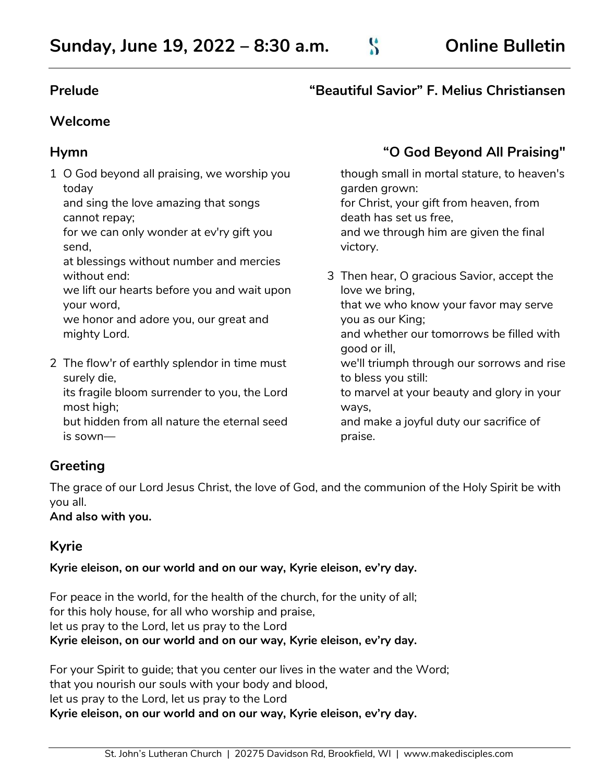### **Prelude "Beautiful Savior" F. Melius Christiansen**

### **Welcome**

1 O God beyond all praising, we worship you today

and sing the love amazing that songs cannot repay;

for we can only wonder at ev'ry gift you send,

at blessings without number and mercies without end:

we lift our hearts before you and wait upon your word,

we honor and adore you, our great and mighty Lord.

2 The flow'r of earthly splendor in time must surely die,

its fragile bloom surrender to you, the Lord most high;

but hidden from all nature the eternal seed is sown—

# **Hymn "O God Beyond All Praising"**

though small in mortal stature, to heaven's garden grown: for Christ, your gift from heaven, from death has set us free, and we through him are given the final victory.

3 Then hear, O gracious Savior, accept the love we bring, that we who know your favor may serve you as our King; and whether our tomorrows be filled with

good or ill, we'll triumph through our sorrows and rise to bless you still:

to marvel at your beauty and glory in your ways,

and make a joyful duty our sacrifice of praise.

### **Greeting**

The grace of our Lord Jesus Christ, the love of God, and the communion of the Holy Spirit be with you all.

**And also with you.**

# **Kyrie**

**Kyrie eleison, on our world and on our way, Kyrie eleison, ev'ry day.**

For peace in the world, for the health of the church, for the unity of all; for this holy house, for all who worship and praise, let us pray to the Lord, let us pray to the Lord **Kyrie eleison, on our world and on our way, Kyrie eleison, ev'ry day.**

For your Spirit to guide; that you center our lives in the water and the Word; that you nourish our souls with your body and blood, let us pray to the Lord, let us pray to the Lord **Kyrie eleison, on our world and on our way, Kyrie eleison, ev'ry day.**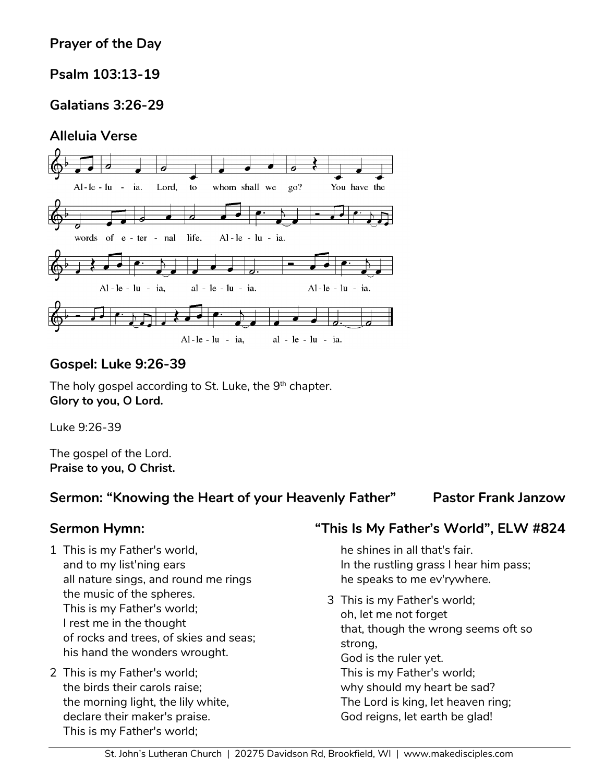# **Prayer of the Day**

# **Psalm 103:13-19**

# **Galatians 3:26-29**

### **Alleluia Verse**



### **Gospel: Luke 9:26-39**

The holy gospel according to St. Luke, the  $9^{\rm th}$  chapter. **Glory to you, O Lord.**

Luke 9:26-39

The gospel of the Lord. **Praise to you, O Christ.**

### **Sermon: "Knowing the Heart of your Heavenly Father" Pastor Frank Janzow**

- 1 This is my Father's world, and to my list'ning ears all nature sings, and round me rings the music of the spheres. This is my Father's world; I rest me in the thought of rocks and trees, of skies and seas; his hand the wonders wrought.
- 2 This is my Father's world; the birds their carols raise; the morning light, the lily white, declare their maker's praise. This is my Father's world;

### **Sermon Hymn: "This Is My Father's World", ELW #824**

he shines in all that's fair. In the rustling grass I hear him pass; he speaks to me ev'rywhere.

3 This is my Father's world; oh, let me not forget that, though the wrong seems oft so strong, God is the ruler yet. This is my Father's world; why should my heart be sad? The Lord is king, let heaven ring; God reigns, let earth be glad!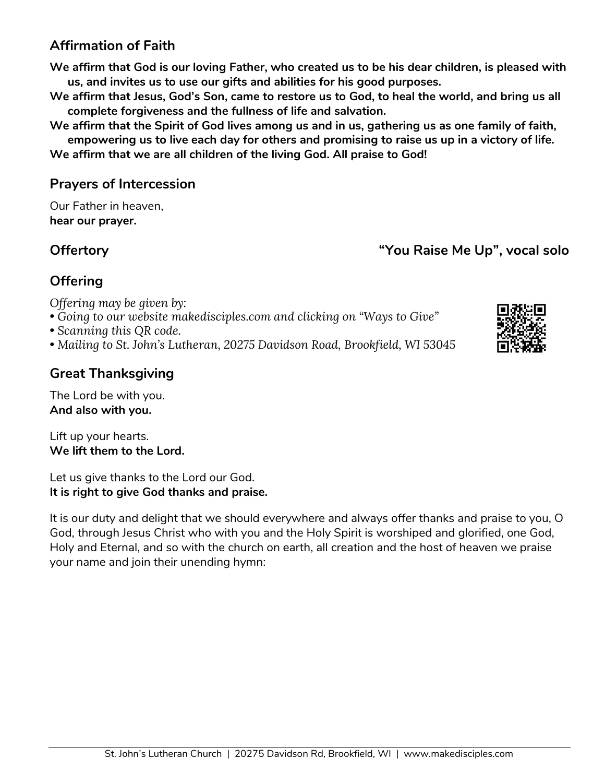# **Affirmation of Faith**

**We affirm that God is our loving Father, who created us to be his dear children, is pleased with us, and invites us to use our gifts and abilities for his good purposes.**

- **We affirm that Jesus, God's Son, came to restore us to God, to heal the world, and bring us all complete forgiveness and the fullness of life and salvation.**
- **We affirm that the Spirit of God lives among us and in us, gathering us as one family of faith, empowering us to live each day for others and promising to raise us up in a victory of life.**

**We affirm that we are all children of the living God. All praise to God!** 

### **Prayers of Intercession**

Our Father in heaven, **hear our prayer.**

**Offertory "You Raise Me Up", vocal solo**

# **Offering**

*Offering may be given by:* 

- *Going to our website makedisciples.com and clicking on "Ways to Give"*
- *Scanning this QR code.*
- *Mailing to St. John's Lutheran, 20275 Davidson Road, Brookfield, WI 53045*

# **Great Thanksgiving**

The Lord be with you. **And also with you.**

Lift up your hearts. **We lift them to the Lord.**

Let us give thanks to the Lord our God. **It is right to give God thanks and praise.** 

It is our duty and delight that we should everywhere and always offer thanks and praise to you, O God, through Jesus Christ who with you and the Holy Spirit is worshiped and glorified, one God, Holy and Eternal, and so with the church on earth, all creation and the host of heaven we praise your name and join their unending hymn:

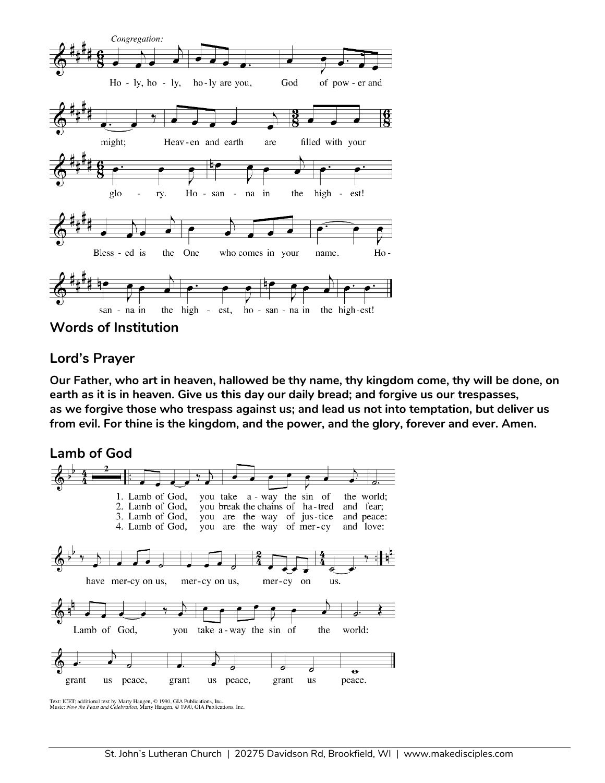

**Words of Institution**

### **Lord's Prayer**

**Our Father, who art in heaven, hallowed be thy name, thy kingdom come, thy will be done, on earth as it is in heaven. Give us this day our daily bread; and forgive us our trespasses, as we forgive those who trespass against us; and lead us not into temptation, but deliver us from evil. For thine is the kingdom, and the power, and the glory, forever and ever. Amen.**



Text: ICET; additional text by Marty Haugen,  $\odot$  1990, GIA Publications, Inc.<br>Music: Now the Feast and Celebration, Marty Haugen,  $\odot$  1990, GIA Publications, Inc.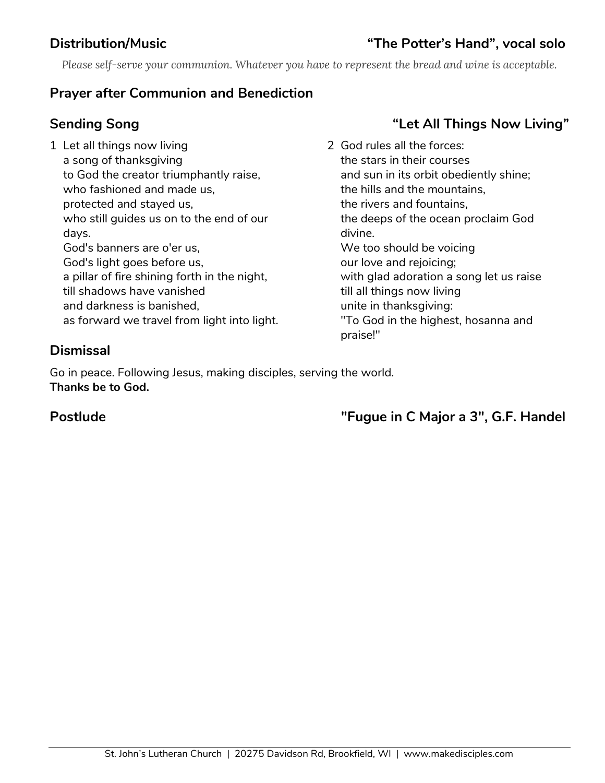# **Distribution/Music "The Potter's Hand", vocal solo**

*Please self-serve your communion. Whatever you have to represent the bread and wine is acceptable.*

### **Prayer after Communion and Benediction**

1 Let all things now living a song of thanksgiving to God the creator triumphantly raise, who fashioned and made us, protected and stayed us, who still guides us on to the end of our days. God's banners are o'er us, God's light goes before us, a pillar of fire shining forth in the night, till shadows have vanished and darkness is banished, as forward we travel from light into light.

# **Sending Song "Let All Things Now Living"**

2 God rules all the forces: the stars in their courses and sun in its orbit obediently shine; the hills and the mountains, the rivers and fountains, the deeps of the ocean proclaim God divine. We too should be voicing our love and rejoicing; with glad adoration a song let us raise till all things now living unite in thanksgiving: "To God in the highest, hosanna and praise!"

### **Dismissal**

Go in peace. Following Jesus, making disciples, serving the world. **Thanks be to God.**

**Postlude "Fugue in C Major a 3", G.F. Handel**